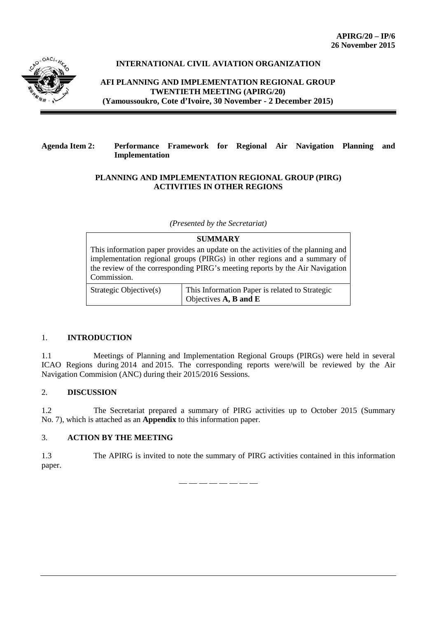

# **INTERNATIONAL CIVIL AVIATION ORGANIZATION**

**AFI PLANNING AND IMPLEMENTATION REGIONAL GROUP TWENTIETH MEETING (APIRG/20) (Yamoussoukro, Cote d'Ivoire, 30 November - 2 December 2015)**

## **Agenda Item 2: Performance Framework for Regional Air Navigation Planning and Implementation**

## **PLANNING AND IMPLEMENTATION REGIONAL GROUP (PIRG) ACTIVITIES IN OTHER REGIONS**

*(Presented by the Secretariat)*

| <b>SUMMARY</b>                                                                                                                                                                                                                                             |                                                                         |
|------------------------------------------------------------------------------------------------------------------------------------------------------------------------------------------------------------------------------------------------------------|-------------------------------------------------------------------------|
| This information paper provides an update on the activities of the planning and<br>implementation regional groups (PIRGs) in other regions and a summary of<br>the review of the corresponding PIRG's meeting reports by the Air Navigation<br>Commission. |                                                                         |
| Strategic Objective(s)                                                                                                                                                                                                                                     | This Information Paper is related to Strategic<br>Objectives A, B and E |

## 1. **INTRODUCTION**

1.1 Meetings of Planning and Implementation Regional Groups (PIRGs) were held in several ICAO Regions during 2014 and 2015. The corresponding reports were/will be reviewed by the Air Navigation Commision (ANC) during their 2015/2016 Sessions.

## 2. **DISCUSSION**

1.2 The Secretariat prepared a summary of PIRG activities up to October 2015 (Summary No. 7), which is attached as an **Appendix** to this information paper.

# 3. **ACTION BY THE MEETING**

1.3 The APIRG is invited to note the summary of PIRG activities contained in this information paper.

— — — — — — — —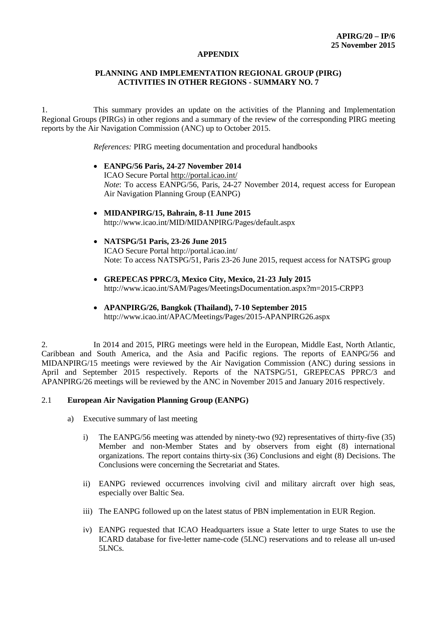#### **APPENDIX**

### **PLANNING AND IMPLEMENTATION REGIONAL GROUP (PIRG) ACTIVITIES IN OTHER REGIONS - SUMMARY NO. 7**

1. This summary provides an update on the activities of the Planning and Implementation Regional Groups (PIRGs) in other regions and a summary of the review of the corresponding PIRG meeting reports by the Air Navigation Commission (ANC) up to October 2015.

*References:* PIRG meeting documentation and procedural handbooks

- **EANPG/56 Paris, 24-27 November 2014** ICAO Secure Portal <http://portal.icao.int/> *Note*: To access EANPG/56, Paris, 24-27 November 2014, request access for European Air Navigation Planning Group (EANPG)
- **MIDANPIRG/15, Bahrain, 8-11 June 2015** <http://www.icao.int/MID/MIDANPIRG/Pages/default.aspx>
- **NATSPG/51 Paris, 23-26 June 2015** ICAO Secure Portal http://portal.icao.int/ Note: To access NATSPG/51, Paris 23-26 June 2015, request access for NATSPG group
- **GREPECAS PPRC/3, Mexico City, Mexico, 21-23 July 2015** <http://www.icao.int/SAM/Pages/MeetingsDocumentation.aspx?m=2015-CRPP3>
- **APANPIRG/26, Bangkok (Thailand), 7-10 September 2015** <http://www.icao.int/APAC/Meetings/Pages/2015-APANPIRG26.aspx>

2. In 2014 and 2015, PIRG meetings were held in the European, Middle East, North Atlantic, Caribbean and South America, and the Asia and Pacific regions. The reports of EANPG/56 and MIDANPIRG/15 meetings were reviewed by the Air Navigation Commission (ANC) during sessions in April and September 2015 respectively. Reports of the NATSPG/51, GREPECAS PPRC/3 and APANPIRG/26 meetings will be reviewed by the ANC in November 2015 and January 2016 respectively.

## 2.1 **European Air Navigation Planning Group (EANPG)**

- a) Executive summary of last meeting
	- i) The EANPG/56 meeting was attended by ninety-two (92) representatives of thirty-five (35) Member and non-Member States and by observers from eight (8) international organizations. The report contains thirty-six (36) Conclusions and eight (8) Decisions. The Conclusions were concerning the Secretariat and States.
	- ii) EANPG reviewed occurrences involving civil and military aircraft over high seas, especially over Baltic Sea.
	- iii) The EANPG followed up on the latest status of PBN implementation in EUR Region.
	- iv) EANPG requested that ICAO Headquarters issue a State letter to urge States to use the ICARD database for five-letter name-code (5LNC) reservations and to release all un-used 5LNCs.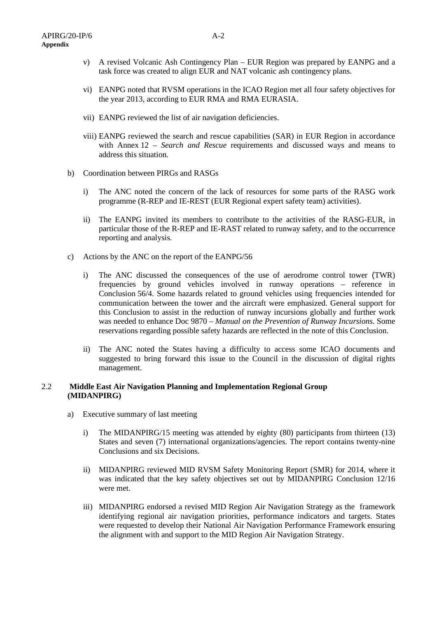- v) A revised Volcanic Ash Contingency Plan EUR Region was prepared by EANPG and a task force was created to align EUR and NAT volcanic ash contingency plans.
- vi) EANPG noted that RVSM operations in the ICAO Region met all four safety objectives for the year 2013, according to EUR RMA and RMA EURASIA.
- vii) EANPG reviewed the list of air navigation deficiencies.
- viii) EANPG reviewed the search and rescue capabilities (SAR) in EUR Region in accordance with Annex 12 – *Search and Rescue* requirements and discussed ways and means to address this situation.
- b) Coordination between PIRGs and RASGs
	- i) The ANC noted the concern of the lack of resources for some parts of the RASG work programme (R-REP and IE-REST (EUR Regional expert safety team) activities).
	- ii) The EANPG invited its members to contribute to the activities of the RASG-EUR, in particular those of the R-REP and IE-RAST related to runway safety, and to the occurrence reporting and analysis.
- c) Actions by the ANC on the report of the EANPG/56
	- i) The ANC discussed the consequences of the use of aerodrome control tower (TWR) frequencies by ground vehicles involved in runway operations – reference in Conclusion 56/4. Some hazards related to ground vehicles using frequencies intended for communication between the tower and the aircraft were emphasized. General support for this Conclusion to assist in the reduction of runway incursions globally and further work was needed to enhance Doc 9870 – *Manual on the Prevention of Runway Incursions*. Some reservations regarding possible safety hazards are reflected in the note of this Conclusion.
	- ii) The ANC noted the States having a difficulty to access some ICAO documents and suggested to bring forward this issue to the Council in the discussion of digital rights management.

#### 2.2 **Middle East Air Navigation Planning and Implementation Regional Group (MIDANPIRG)**

- a) Executive summary of last meeting
	- i) The MIDANPIRG/15 meeting was attended by eighty (80) participants from thirteen (13) States and seven (7) international organizations/agencies. The report contains twenty-nine Conclusions and six Decisions.
	- ii) MIDANPIRG reviewed MID RVSM Safety Monitoring Report (SMR) for 2014, where it was indicated that the key safety objectives set out by MIDANPIRG Conclusion 12/16 were met.
	- iii) MIDANPIRG endorsed a revised MID Region Air Navigation Strategy as the framework identifying regional air navigation priorities, performance indicators and targets. States were requested to develop their National Air Navigation Performance Framework ensuring the alignment with and support to the MID Region Air Navigation Strategy.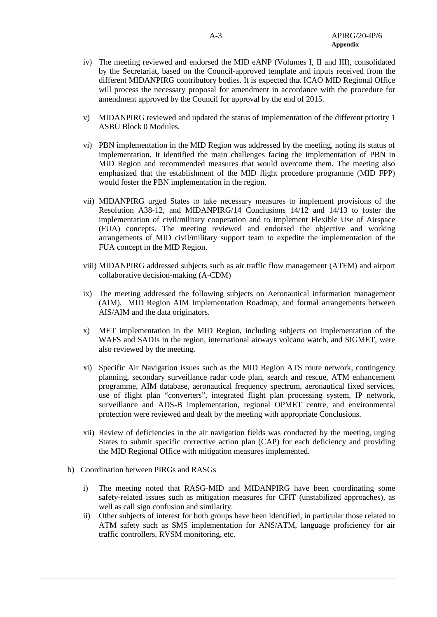- iv) The meeting reviewed and endorsed the MID eANP (Volumes I, II and III), consolidated by the Secretariat, based on the Council-approved template and inputs received from the different MIDANPIRG contributory bodies. It is expected that ICAO MID Regional Office will process the necessary proposal for amendment in accordance with the procedure for amendment approved by the Council for approval by the end of 2015.
- v) MIDANPIRG reviewed and updated the status of implementation of the different priority 1 ASBU Block 0 Modules.
- vi) PBN implementation in the MID Region was addressed by the meeting, noting its status of implementation. It identified the main challenges facing the implementation of PBN in MID Region and recommended measures that would overcome them. The meeting also emphasized that the establishment of the MID flight procedure programme (MID FPP) would foster the PBN implementation in the region.
- vii) MIDANPIRG urged States to take necessary measures to implement provisions of the Resolution A38-12, and MIDANPIRG/14 Conclusions 14/12 and 14/13 to foster the implementation of civil/military cooperation and to implement Flexible Use of Airspace (FUA) concepts. The meeting reviewed and endorsed the objective and working arrangements of MID civil/military support team to expedite the implementation of the FUA concept in the MID Region.
- viii) MIDANPIRG addressed subjects such as air traffic flow management (ATFM) and airport collaborative decision-making (A-CDM)
- ix) The meeting addressed the following subjects on Aeronautical information management (AIM), MID Region AIM Implementation Roadmap, and formal arrangements between AIS/AIM and the data originators.
- x) MET implementation in the MID Region, including subjects on implementation of the WAFS and SADIs in the region, international airways volcano watch, and SIGMET, were also reviewed by the meeting.
- xi) Specific Air Navigation issues such as the MID Region ATS route network, contingency planning, secondary surveillance radar code plan, search and rescue, ATM enhancement programme, AIM database, aeronautical frequency spectrum, aeronautical fixed services, use of flight plan "converters", integrated flight plan processing system, IP network, surveillance and ADS-B implementation, regional OPMET centre, and environmental protection were reviewed and dealt by the meeting with appropriate Conclusions.
- xii) Review of deficiencies in the air navigation fields was conducted by the meeting, urging States to submit specific corrective action plan (CAP) for each deficiency and providing the MID Regional Office with mitigation measures implemented.
- b) Coordination between PIRGs and RASGs
	- i) The meeting noted that RASG-MID and MIDANPIRG have been coordinating some safety-related issues such as mitigation measures for CFIT (unstabilized approaches), as well as call sign confusion and similarity.
	- ii) Other subjects of interest for both groups have been identified, in particular those related to ATM safety such as SMS implementation for ANS/ATM, language proficiency for air traffic controllers, RVSM monitoring, etc.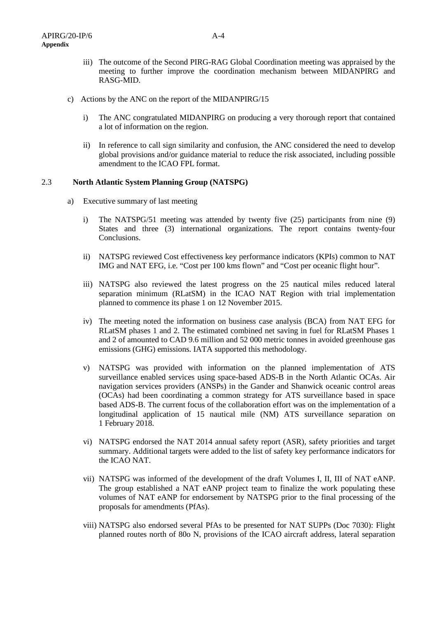- iii) The outcome of the Second PIRG-RAG Global Coordination meeting was appraised by the meeting to further improve the coordination mechanism between MIDANPIRG and RASG-MID.
- c) Actions by the ANC on the report of the MIDANPIRG/15
	- i) The ANC congratulated MIDANPIRG on producing a very thorough report that contained a lot of information on the region.
	- ii) In reference to call sign similarity and confusion, the ANC considered the need to develop global provisions and/or guidance material to reduce the risk associated, including possible amendment to the ICAO FPL format.

## 2.3 **North Atlantic System Planning Group (NATSPG)**

- a) Executive summary of last meeting
	- i) The NATSPG/51 meeting was attended by twenty five (25) participants from nine (9) States and three (3) international organizations. The report contains twenty-four Conclusions.
	- ii) NATSPG reviewed Cost effectiveness key performance indicators (KPIs) common to NAT IMG and NAT EFG, i.e. "Cost per 100 kms flown" and "Cost per oceanic flight hour".
	- iii) NATSPG also reviewed the latest progress on the 25 nautical miles reduced lateral separation minimum (RLatSM) in the ICAO NAT Region with trial implementation planned to commence its phase 1 on 12 November 2015.
	- iv) The meeting noted the information on business case analysis (BCA) from NAT EFG for RLatSM phases 1 and 2. The estimated combined net saving in fuel for RLatSM Phases 1 and 2 of amounted to CAD 9.6 million and 52 000 metric tonnes in avoided greenhouse gas emissions (GHG) emissions. IATA supported this methodology.
	- v) NATSPG was provided with information on the planned implementation of ATS surveillance enabled services using space-based ADS-B in the North Atlantic OCAs. Air navigation services providers (ANSPs) in the Gander and Shanwick oceanic control areas (OCAs) had been coordinating a common strategy for ATS surveillance based in space based ADS-B. The current focus of the collaboration effort was on the implementation of a longitudinal application of 15 nautical mile (NM) ATS surveillance separation on 1 February 2018.
	- vi) NATSPG endorsed the NAT 2014 annual safety report (ASR), safety priorities and target summary. Additional targets were added to the list of safety key performance indicators for the ICAO NAT.
	- vii) NATSPG was informed of the development of the draft Volumes I, II, III of NAT eANP. The group established a NAT eANP project team to finalize the work populating these volumes of NAT eANP for endorsement by NATSPG prior to the final processing of the proposals for amendments (PfAs).
	- viii) NATSPG also endorsed several PfAs to be presented for NAT SUPPs (Doc 7030): Flight planned routes north of 80o N, provisions of the ICAO aircraft address, lateral separation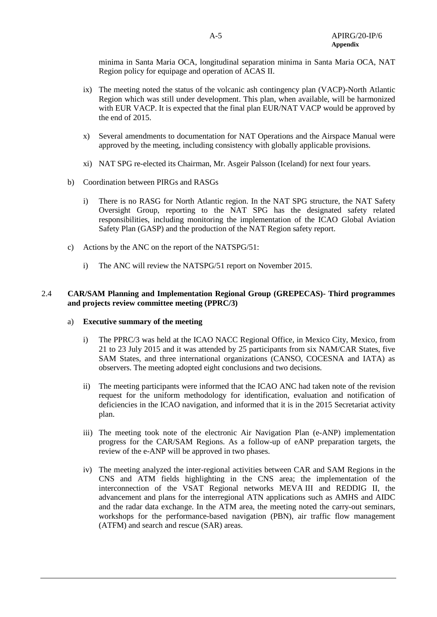minima in Santa Maria OCA, longitudinal separation minima in Santa Maria OCA, NAT Region policy for equipage and operation of ACAS II.

- ix) The meeting noted the status of the volcanic ash contingency plan (VACP)-North Atlantic Region which was still under development. This plan, when available, will be harmonized with EUR VACP. It is expected that the final plan EUR/NAT VACP would be approved by the end of 2015.
- x) Several amendments to documentation for NAT Operations and the Airspace Manual were approved by the meeting, including consistency with globally applicable provisions.
- xi) NAT SPG re-elected its Chairman, Mr. Asgeir Palsson (Iceland) for next four years.
- b) Coordination between PIRGs and RASGs
	- i) There is no RASG for North Atlantic region. In the NAT SPG structure, the NAT Safety Oversight Group, reporting to the NAT SPG has the designated safety related responsibilities, including monitoring the implementation of the ICAO Global Aviation Safety Plan (GASP) and the production of the NAT Region safety report.
- c) Actions by the ANC on the report of the NATSPG/51:
	- i) The ANC will review the NATSPG/51 report on November 2015.

## 2.4 **CAR/SAM Planning and Implementation Regional Group (GREPECAS)- Third programmes and projects review committee meeting (PPRC/3)**

#### a) **Executive summary of the meeting**

- i) The PPRC/3 was held at the ICAO NACC Regional Office, in Mexico City, Mexico, from 21 to 23 July 2015 and it was attended by 25 participants from six NAM/CAR States, five SAM States, and three international organizations (CANSO, COCESNA and IATA) as observers. The meeting adopted eight conclusions and two decisions.
- ii) The meeting participants were informed that the ICAO ANC had taken note of the revision request for the uniform methodology for identification, evaluation and notification of deficiencies in the ICAO navigation, and informed that it is in the 2015 Secretariat activity plan.
- iii) The meeting took note of the electronic Air Navigation Plan (e-ANP) implementation progress for the CAR/SAM Regions. As a follow-up of eANP preparation targets, the review of the e-ANP will be approved in two phases.
- iv) The meeting analyzed the inter-regional activities between CAR and SAM Regions in the CNS and ATM fields highlighting in the CNS area; the implementation of the interconnection of the VSAT Regional networks MEVA III and REDDIG II, the advancement and plans for the interregional ATN applications such as AMHS and AIDC and the radar data exchange. In the ATM area, the meeting noted the carry-out seminars, workshops for the performance-based navigation (PBN), air traffic flow management (ATFM) and search and rescue (SAR) areas.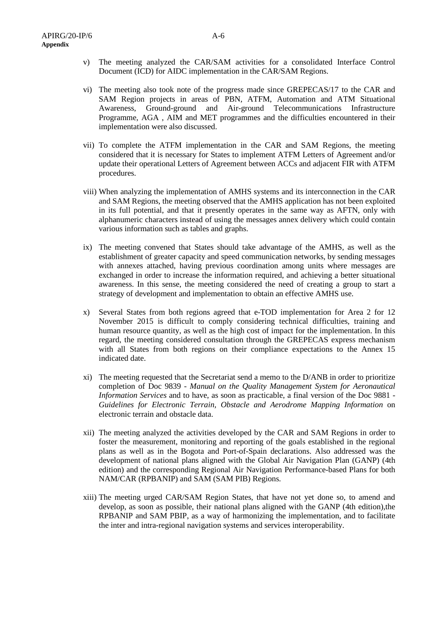- v) The meeting analyzed the CAR/SAM activities for a consolidated Interface Control Document (ICD) for AIDC implementation in the CAR/SAM Regions.
- vi) The meeting also took note of the progress made since GREPECAS/17 to the CAR and SAM Region projects in areas of PBN, ATFM, Automation and ATM Situational Awareness, Ground-ground and Air-ground Telecommunications Infrastructure Programme, AGA , AIM and MET programmes and the difficulties encountered in their implementation were also discussed.
- vii) To complete the ATFM implementation in the CAR and SAM Regions, the meeting considered that it is necessary for States to implement ATFM Letters of Agreement and/or update their operational Letters of Agreement between ACCs and adjacent FIR with ATFM procedures.
- viii) When analyzing the implementation of AMHS systems and its interconnection in the CAR and SAM Regions, the meeting observed that the AMHS application has not been exploited in its full potential, and that it presently operates in the same way as AFTN, only with alphanumeric characters instead of using the messages annex delivery which could contain various information such as tables and graphs.
- ix) The meeting convened that States should take advantage of the AMHS, as well as the establishment of greater capacity and speed communication networks, by sending messages with annexes attached, having previous coordination among units where messages are exchanged in order to increase the information required, and achieving a better situational awareness. In this sense, the meeting considered the need of creating a group to start a strategy of development and implementation to obtain an effective AMHS use.
- x) Several States from both regions agreed that e-TOD implementation for Area 2 for 12 November 2015 is difficult to comply considering technical difficulties, training and human resource quantity, as well as the high cost of impact for the implementation. In this regard, the meeting considered consultation through the GREPECAS express mechanism with all States from both regions on their compliance expectations to the Annex 15 indicated date.
- xi) The meeting requested that the Secretariat send a memo to the D/ANB in order to prioritize completion of Doc 9839 - *Manual on the Quality Management System for Aeronautical Information Services* and to have, as soon as practicable, a final version of the Doc 9881 - *Guidelines for Electronic Terrain, Obstacle and Aerodrome Mapping Information* on electronic terrain and obstacle data.
- xii) The meeting analyzed the activities developed by the CAR and SAM Regions in order to foster the measurement, monitoring and reporting of the goals established in the regional plans as well as in the Bogota and Port-of-Spain declarations. Also addressed was the development of national plans aligned with the Global Air Navigation Plan (GANP) (4th edition) and the corresponding Regional Air Navigation Performance-based Plans for both NAM/CAR (RPBANIP) and SAM (SAM PIB) Regions.
- xiii) The meeting urged CAR/SAM Region States, that have not yet done so, to amend and develop, as soon as possible, their national plans aligned with the GANP (4th edition),the RPBANIP and SAM PBIP, as a way of harmonizing the implementation, and to facilitate the inter and intra-regional navigation systems and services interoperability.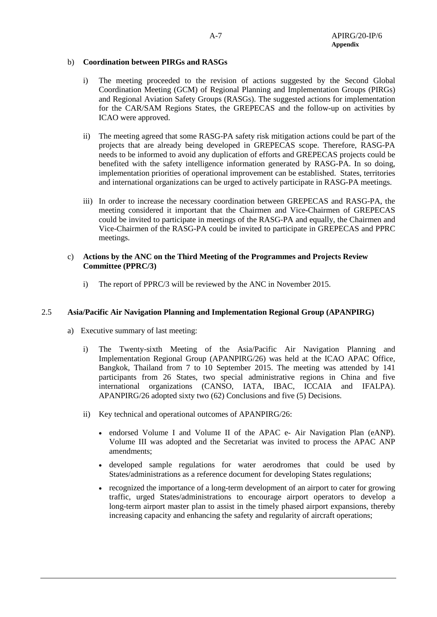## b) **Coordination between PIRGs and RASGs**

- i) The meeting proceeded to the revision of actions suggested by the Second Global Coordination Meeting (GCM) of Regional Planning and Implementation Groups (PIRGs) and Regional Aviation Safety Groups (RASGs). The suggested actions for implementation for the CAR/SAM Regions States, the GREPECAS and the follow-up on activities by ICAO were approved.
- ii) The meeting agreed that some RASG-PA safety risk mitigation actions could be part of the projects that are already being developed in GREPECAS scope. Therefore, RASG-PA needs to be informed to avoid any duplication of efforts and GREPECAS projects could be benefited with the safety intelligence information generated by RASG-PA. In so doing, implementation priorities of operational improvement can be established. States, territories and international organizations can be urged to actively participate in RASG-PA meetings.
- iii) In order to increase the necessary coordination between GREPECAS and RASG-PA, the meeting considered it important that the Chairmen and Vice-Chairmen of GREPECAS could be invited to participate in meetings of the RASG-PA and equally, the Chairmen and Vice-Chairmen of the RASG-PA could be invited to participate in GREPECAS and PPRC meetings.

#### c) **Actions by the ANC on the Third Meeting of the Programmes and Projects Review Committee (PPRC/3)**

i) The report of PPRC/3 will be reviewed by the ANC in November 2015.

## 2.5 **Asia/Pacific Air Navigation Planning and Implementation Regional Group (APANPIRG)**

- a) Executive summary of last meeting:
	- i) The Twenty-sixth Meeting of the Asia/Pacific Air Navigation Planning and Implementation Regional Group (APANPIRG/26) was held at the ICAO APAC Office, Bangkok, Thailand from 7 to 10 September 2015. The meeting was attended by 141 participants from 26 States, two special administrative regions in China and five international organizations (CANSO, IATA, IBAC, ICCAIA and IFALPA). APANPIRG/26 adopted sixty two (62) Conclusions and five (5) Decisions.
	- ii) Key technical and operational outcomes of APANPIRG/26:
		- endorsed Volume I and Volume II of the APAC e- Air Navigation Plan (eANP). Volume III was adopted and the Secretariat was invited to process the APAC ANP amendments;
		- developed sample regulations for water aerodromes that could be used by States/administrations as a reference document for developing States regulations;
		- recognized the importance of a long-term development of an airport to cater for growing traffic, urged States/administrations to encourage airport operators to develop a long-term airport master plan to assist in the timely phased airport expansions, thereby increasing capacity and enhancing the safety and regularity of aircraft operations;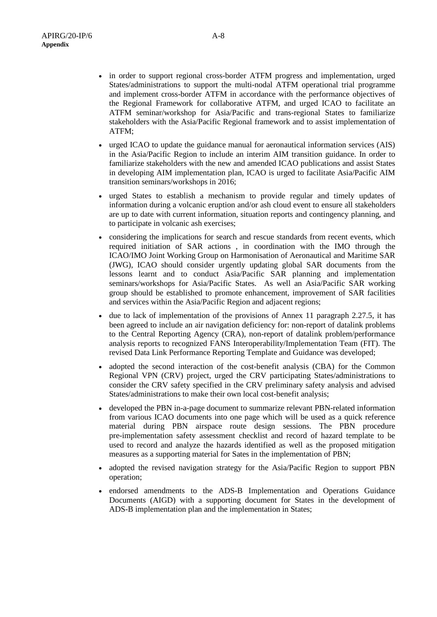- in order to support regional cross-border ATFM progress and implementation, urged States/administrations to support the multi-nodal ATFM operational trial programme and implement cross-border ATFM in accordance with the performance objectives of the Regional Framework for collaborative ATFM, and urged ICAO to facilitate an ATFM seminar/workshop for Asia/Pacific and trans-regional States to familiarize stakeholders with the Asia/Pacific Regional framework and to assist implementation of ATFM;
- urged ICAO to update the guidance manual for aeronautical information services (AIS) in the Asia/Pacific Region to include an interim AIM transition guidance. In order to familiarize stakeholders with the new and amended ICAO publications and assist States in developing AIM implementation plan, ICAO is urged to facilitate Asia/Pacific AIM transition seminars/workshops in 2016;
- urged States to establish a mechanism to provide regular and timely updates of information during a volcanic eruption and/or ash cloud event to ensure all stakeholders are up to date with current information, situation reports and contingency planning, and to participate in volcanic ash exercises;
- considering the implications for search and rescue standards from recent events, which required initiation of SAR actions , in coordination with the IMO through the ICAO/IMO Joint Working Group on Harmonisation of Aeronautical and Maritime SAR (JWG), ICAO should consider urgently updating global SAR documents from the lessons learnt and to conduct Asia/Pacific SAR planning and implementation seminars/workshops for Asia/Pacific States. As well an Asia/Pacific SAR working group should be established to promote enhancement, improvement of SAR facilities and services within the Asia/Pacific Region and adjacent regions;
- due to lack of implementation of the provisions of Annex 11 paragraph 2.27.5, it has been agreed to include an air navigation deficiency for: non-report of datalink problems to the Central Reporting Agency (CRA), non-report of datalink problem/performance analysis reports to recognized FANS Interoperability/Implementation Team (FIT). The revised Data Link Performance Reporting Template and Guidance was developed;
- adopted the second interaction of the cost-benefit analysis (CBA) for the Common Regional VPN (CRV) project, urged the CRV participating States/administrations to consider the CRV safety specified in the CRV preliminary safety analysis and advised States/administrations to make their own local cost-benefit analysis;
- developed the PBN in-a-page document to summarize relevant PBN-related information from various ICAO documents into one page which will be used as a quick reference material during PBN airspace route design sessions. The PBN procedure pre-implementation safety assessment checklist and record of hazard template to be used to record and analyze the hazards identified as well as the proposed mitigation measures as a supporting material for Sates in the implementation of PBN;
- adopted the revised navigation strategy for the Asia/Pacific Region to support PBN operation;
- endorsed amendments to the ADS-B Implementation and Operations Guidance Documents (AIGD) with a supporting document for States in the development of ADS-B implementation plan and the implementation in States;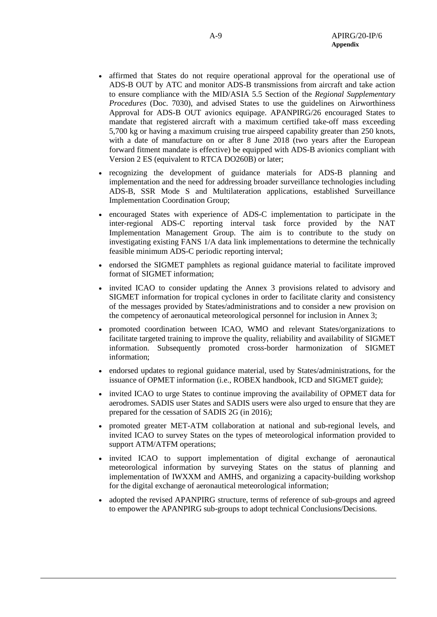- affirmed that States do not require operational approval for the operational use of ADS-B OUT by ATC and monitor ADS-B transmissions from aircraft and take action to ensure compliance with the MID/ASIA 5.5 Section of the *Regional Supplementary Procedures* (Doc. 7030), and advised States to use the guidelines on Airworthiness Approval for ADS-B OUT avionics equipage. APANPIRG/26 encouraged States to mandate that registered aircraft with a maximum certified take-off mass exceeding 5,700 kg or having a maximum cruising true airspeed capability greater than 250 knots, with a date of manufacture on or after 8 June 2018 (two years after the European forward fitment mandate is effective) be equipped with ADS-B avionics compliant with Version 2 ES (equivalent to RTCA DO260B) or later;
- recognizing the development of guidance materials for ADS-B planning and implementation and the need for addressing broader surveillance technologies including ADS-B, SSR Mode S and Multilateration applications, established Surveillance Implementation Coordination Group;
- encouraged States with experience of ADS-C implementation to participate in the inter-regional ADS-C reporting interval task force provided by the NAT Implementation Management Group. The aim is to contribute to the study on investigating existing FANS 1/A data link implementations to determine the technically feasible minimum ADS-C periodic reporting interval;
- endorsed the SIGMET pamphlets as regional guidance material to facilitate improved format of SIGMET information;
- invited ICAO to consider updating the Annex 3 provisions related to advisory and SIGMET information for tropical cyclones in order to facilitate clarity and consistency of the messages provided by States/administrations and to consider a new provision on the competency of aeronautical meteorological personnel for inclusion in Annex 3;
- promoted coordination between ICAO, WMO and relevant States/organizations to facilitate targeted training to improve the quality, reliability and availability of SIGMET information. Subsequently promoted cross-border harmonization of SIGMET information;
- endorsed updates to regional guidance material, used by States/administrations, for the issuance of OPMET information (i.e., ROBEX handbook, ICD and SIGMET guide);
- invited ICAO to urge States to continue improving the availability of OPMET data for aerodromes. SADIS user States and SADIS users were also urged to ensure that they are prepared for the cessation of SADIS 2G (in 2016);
- promoted greater MET-ATM collaboration at national and sub-regional levels, and invited ICAO to survey States on the types of meteorological information provided to support ATM/ATFM operations;
- invited ICAO to support implementation of digital exchange of aeronautical meteorological information by surveying States on the status of planning and implementation of IWXXM and AMHS, and organizing a capacity-building workshop for the digital exchange of aeronautical meteorological information;
- adopted the revised APANPIRG structure, terms of reference of sub-groups and agreed to empower the APANPIRG sub-groups to adopt technical Conclusions/Decisions.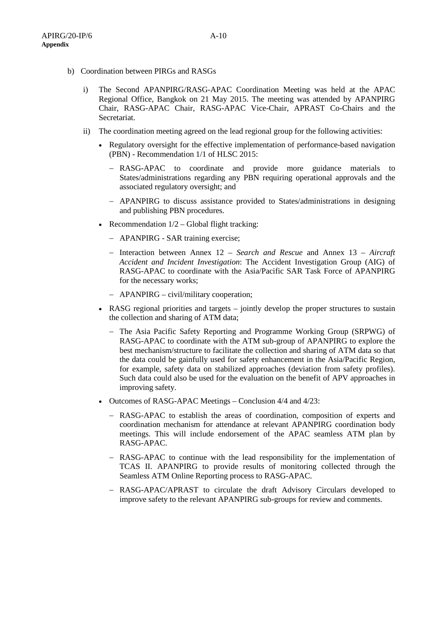- b) Coordination between PIRGs and RASGs
	- i) The Second APANPIRG/RASG-APAC Coordination Meeting was held at the APAC Regional Office, Bangkok on 21 May 2015. The meeting was attended by APANPIRG Chair, RASG-APAC Chair, RASG-APAC Vice-Chair, APRAST Co-Chairs and the Secretariat.
	- ii) The coordination meeting agreed on the lead regional group for the following activities:
		- Regulatory oversight for the effective implementation of performance-based navigation (PBN) - Recommendation 1/1 of HLSC 2015:
			- − RASG-APAC to coordinate and provide more guidance materials to States/administrations regarding any PBN requiring operational approvals and the associated regulatory oversight; and
			- − APANPIRG to discuss assistance provided to States/administrations in designing and publishing PBN procedures.
		- Recommendation  $1/2$  Global flight tracking:
			- − APANPIRG SAR training exercise;
			- − Interaction between Annex 12 *Search and Rescue* and Annex 13 *Aircraft Accident and Incident Investigation*: The Accident Investigation Group (AIG) of RASG-APAC to coordinate with the Asia/Pacific SAR Task Force of APANPIRG for the necessary works;
			- − APANPIRG civil/military cooperation;
		- RASG regional priorities and targets jointly develop the proper structures to sustain the collection and sharing of ATM data;
			- − The Asia Pacific Safety Reporting and Programme Working Group (SRPWG) of RASG-APAC to coordinate with the ATM sub-group of APANPIRG to explore the best mechanism/structure to facilitate the collection and sharing of ATM data so that the data could be gainfully used for safety enhancement in the Asia/Pacific Region, for example, safety data on stabilized approaches (deviation from safety profiles). Such data could also be used for the evaluation on the benefit of APV approaches in improving safety.
		- Outcomes of RASG-APAC Meetings Conclusion 4/4 and 4/23:
			- − RASG-APAC to establish the areas of coordination, composition of experts and coordination mechanism for attendance at relevant APANPIRG coordination body meetings. This will include endorsement of the APAC seamless ATM plan by RASG-APAC.
			- − RASG-APAC to continue with the lead responsibility for the implementation of TCAS II. APANPIRG to provide results of monitoring collected through the Seamless ATM Online Reporting process to RASG-APAC.
			- − RASG-APAC/APRAST to circulate the draft Advisory Circulars developed to improve safety to the relevant APANPIRG sub-groups for review and comments.